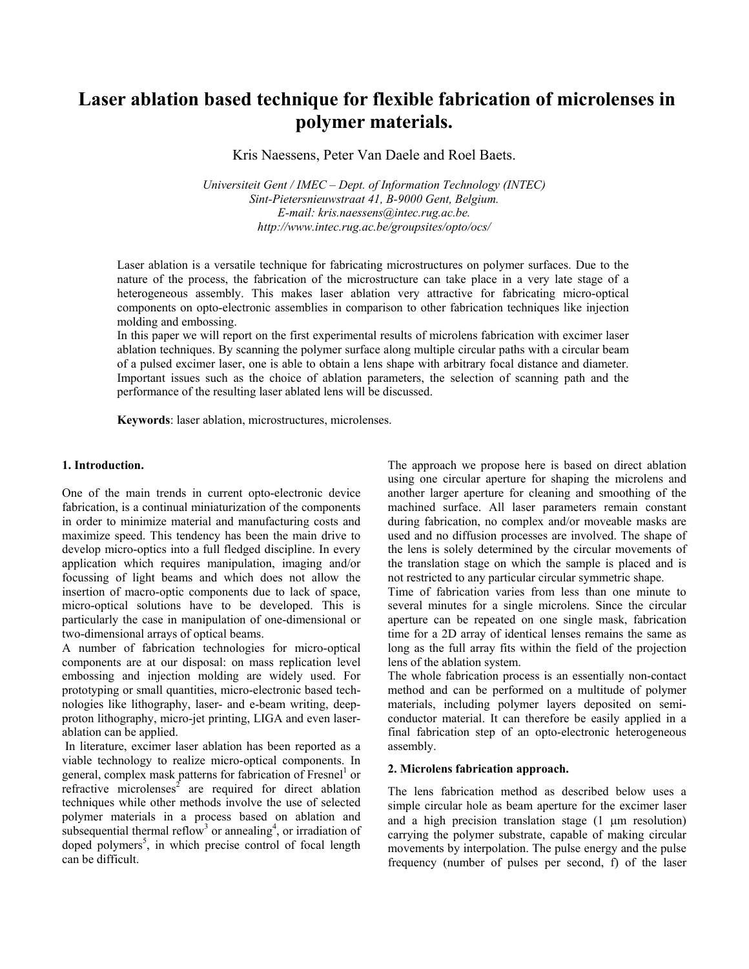# **Laser ablation based technique for flexible fabrication of microlenses in polymer materials.**

Kris Naessens, Peter Van Daele and Roel Baets.

*Universiteit Gent / IMEC – Dept. of Information Technology (INTEC) Sint-Pietersnieuwstraat 41, B-9000 Gent, Belgium. E-mail: kris.naessens@intec.rug.ac.be. http://www.intec.rug.ac.be/groupsites/opto/ocs/*

Laser ablation is a versatile technique for fabricating microstructures on polymer surfaces. Due to the nature of the process, the fabrication of the microstructure can take place in a very late stage of a heterogeneous assembly. This makes laser ablation very attractive for fabricating micro-optical components on opto-electronic assemblies in comparison to other fabrication techniques like injection molding and embossing.

In this paper we will report on the first experimental results of microlens fabrication with excimer laser ablation techniques. By scanning the polymer surface along multiple circular paths with a circular beam of a pulsed excimer laser, one is able to obtain a lens shape with arbitrary focal distance and diameter. Important issues such as the choice of ablation parameters, the selection of scanning path and the performance of the resulting laser ablated lens will be discussed.

**Keywords**: laser ablation, microstructures, microlenses.

#### **1. Introduction.**

One of the main trends in current opto-electronic device fabrication, is a continual miniaturization of the components in order to minimize material and manufacturing costs and maximize speed. This tendency has been the main drive to develop micro-optics into a full fledged discipline. In every application which requires manipulation, imaging and/or focussing of light beams and which does not allow the insertion of macro-optic components due to lack of space, micro-optical solutions have to be developed. This is particularly the case in manipulation of one-dimensional or two-dimensional arrays of optical beams.

A number of fabrication technologies for micro-optical components are at our disposal: on mass replication level embossing and injection molding are widely used. For prototyping or small quantities, micro-electronic based technologies like lithography, laser- and e-beam writing, deepproton lithography, micro-jet printing, LIGA and even laserablation can be applied.

 In literature, excimer laser ablation has been reported as a viable technology to realize micro-optical components. In general, complex mask patterns for fabrication of Fresnel<sup>1</sup> or refractive microlenses<sup>2</sup> are required for direct ablation techniques while other methods involve the use of selected polymer materials in a process based on ablation and subsequential thermal reflow<sup>3</sup> or annealing<sup>4</sup>, or irradiation of doped polymers<sup>5</sup>, in which precise control of focal length can be difficult.

The approach we propose here is based on direct ablation using one circular aperture for shaping the microlens and another larger aperture for cleaning and smoothing of the machined surface. All laser parameters remain constant during fabrication, no complex and/or moveable masks are used and no diffusion processes are involved. The shape of the lens is solely determined by the circular movements of the translation stage on which the sample is placed and is not restricted to any particular circular symmetric shape.

Time of fabrication varies from less than one minute to several minutes for a single microlens. Since the circular aperture can be repeated on one single mask, fabrication time for a 2D array of identical lenses remains the same as long as the full array fits within the field of the projection lens of the ablation system.

The whole fabrication process is an essentially non-contact method and can be performed on a multitude of polymer materials, including polymer layers deposited on semiconductor material. It can therefore be easily applied in a final fabrication step of an opto-electronic heterogeneous assembly.

## **2. Microlens fabrication approach.**

The lens fabrication method as described below uses a simple circular hole as beam aperture for the excimer laser and a high precision translation stage  $(1 \mu m$  resolution) carrying the polymer substrate, capable of making circular movements by interpolation. The pulse energy and the pulse frequency (number of pulses per second, f) of the laser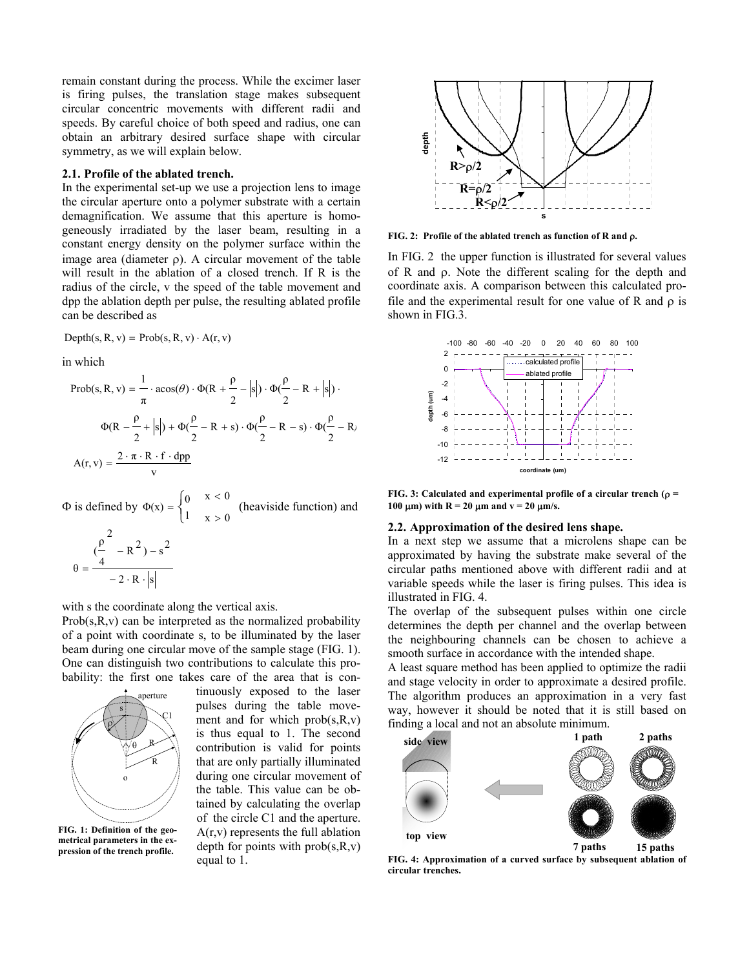remain constant during the process. While the excimer laser is firing pulses, the translation stage makes subsequent circular concentric movements with different radii and speeds. By careful choice of both speed and radius, one can obtain an arbitrary desired surface shape with circular symmetry, as we will explain below.

## **2.1. Profile of the ablated trench.**

In the experimental set-up we use a projection lens to image the circular aperture onto a polymer substrate with a certain demagnification. We assume that this aperture is homogeneously irradiated by the laser beam, resulting in a constant energy density on the polymer surface within the image area (diameter ρ). A circular movement of the table will result in the ablation of a closed trench. If R is the radius of the circle, v the speed of the table movement and dpp the ablation depth per pulse, the resulting ablated profile can be described as

 $Depth(s, R, v) = Prob(s, R, v) \cdot A(r, v)$ 

in which

Prob(s, R, v) = 
$$
\frac{1}{\pi} \cdot a\cos(\theta) \cdot \Phi(R + \frac{\rho}{2} - |s|) \cdot \Phi(\frac{\rho}{2} - R + |s|) \cdot
$$
  

$$
\Phi(R - \frac{\rho}{2} + |s|) + \Phi(\frac{\rho}{2} - R + s) \cdot \Phi(\frac{\rho}{2} - R - s) \cdot \Phi(\frac{\rho}{2} - R)
$$
  
A(r, v) =  $\frac{2 \cdot \pi \cdot R \cdot f \cdot dpp}{v}$ 

 $\Phi$  is defined by  $\Phi(x) = \begin{cases} 0 & x < 0 \\ 1 & x > 0 \end{cases}$  $x < 0$ >  $\prec$  (heaviside function) and  $\theta = \frac{4}{-2 \cdot R \cdot |s|}$  $R^2$ ) – s<sup>2</sup> 2 4 ρ ( θ  $-2 \cdot R \cdot$  $- R^2$ ) – =

with s the coordinate along the vertical axis.

Prob(s,R,v) can be interpreted as the normalized probability of a point with coordinate s, to be illuminated by the laser beam during one circular move of the sample stage (FIG. 1). One can distinguish two contributions to calculate this probability: the first one takes care of the area that is con-



**FIG. 1: Definition of the geometrical parameters in the expression of the trench profile.**

tinuously exposed to the laser pulses during the table movement and for which  $prob(s, R, v)$ is thus equal to 1. The second contribution is valid for points that are only partially illuminated during one circular movement of the table. This value can be obtained by calculating the overlap of the circle C1 and the aperture. A(r,v) represents the full ablation depth for points with  $prob(s, R, v)$ equal to 1.



**FIG. 2: Profile of the ablated trench as function of R and** ρ**.**

In FIG. 2 the upper function is illustrated for several values of R and ρ. Note the different scaling for the depth and coordinate axis. A comparison between this calculated profile and the experimental result for one value of R and  $\rho$  is shown in FIG.3.



**FIG. 3: Calculated and experimental profile of a circular trench (**ρ **= 100 µm) with R = 20 µm and v = 20 µm/s.** 

### **2.2. Approximation of the desired lens shape.**

In a next step we assume that a microlens shape can be approximated by having the substrate make several of the circular paths mentioned above with different radii and at variable speeds while the laser is firing pulses. This idea is illustrated in FIG. 4.

The overlap of the subsequent pulses within one circle determines the depth per channel and the overlap between the neighbouring channels can be chosen to achieve a smooth surface in accordance with the intended shape.

A least square method has been applied to optimize the radii and stage velocity in order to approximate a desired profile. The algorithm produces an approximation in a very fast way, however it should be noted that it is still based on finding a local and not an absolute minimum.



**FIG. 4: Approximation of a curved surface by subsequent ablation of circular trenches.**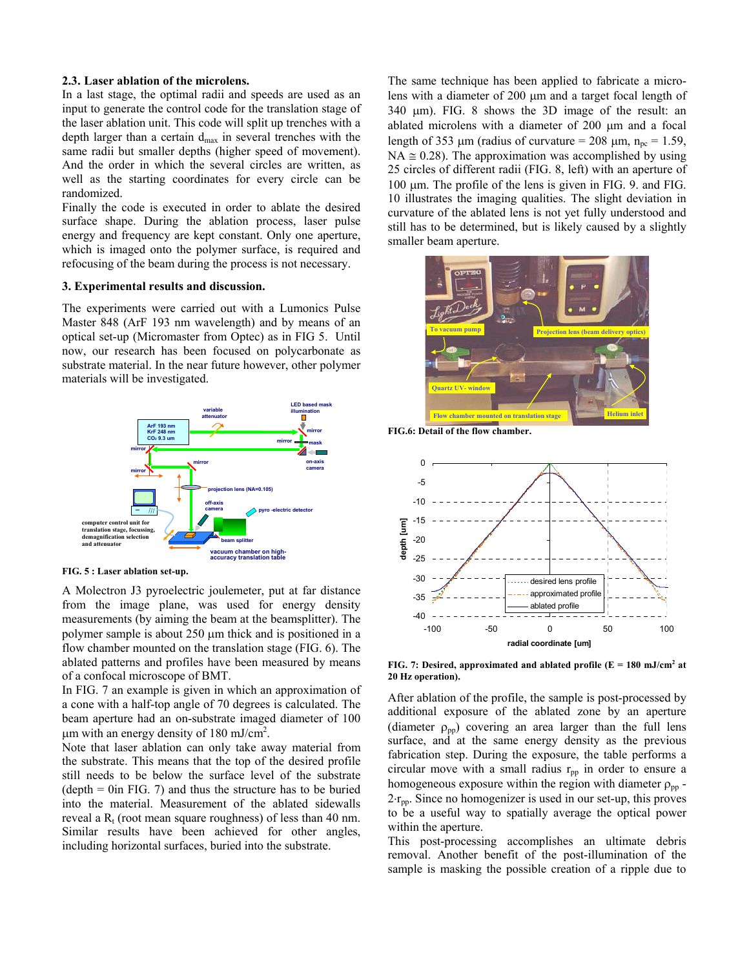#### **2.3. Laser ablation of the microlens.**

In a last stage, the optimal radii and speeds are used as an input to generate the control code for the translation stage of the laser ablation unit. This code will split up trenches with a depth larger than a certain  $d_{\text{max}}$  in several trenches with the same radii but smaller depths (higher speed of movement). And the order in which the several circles are written, as well as the starting coordinates for every circle can be randomized.

Finally the code is executed in order to ablate the desired surface shape. During the ablation process, laser pulse energy and frequency are kept constant. Only one aperture, which is imaged onto the polymer surface, is required and refocusing of the beam during the process is not necessary.

#### **3. Experimental results and discussion.**

The experiments were carried out with a Lumonics Pulse Master 848 (ArF 193 nm wavelength) and by means of an optical set-up (Micromaster from Optec) as in FIG 5. Until now, our research has been focused on polycarbonate as substrate material. In the near future however, other polymer materials will be investigated.



**FIG. 5 : Laser ablation set-up.**

A Molectron J3 pyroelectric joulemeter, put at far distance from the image plane, was used for energy density measurements (by aiming the beam at the beamsplitter). The polymer sample is about 250 µm thick and is positioned in a flow chamber mounted on the translation stage (FIG. 6). The ablated patterns and profiles have been measured by means of a confocal microscope of BMT.

In FIG. 7 an example is given in which an approximation of a cone with a half-top angle of 70 degrees is calculated. The beam aperture had an on-substrate imaged diameter of 100  $\mu$ m with an energy density of 180 mJ/cm<sup>2</sup>.

Note that laser ablation can only take away material from the substrate. This means that the top of the desired profile still needs to be below the surface level of the substrate  $(depth = 0$ in FIG. 7) and thus the structure has to be buried into the material. Measurement of the ablated sidewalls reveal a  $R_t$  (root mean square roughness) of less than 40 nm. Similar results have been achieved for other angles, including horizontal surfaces, buried into the substrate.

The same technique has been applied to fabricate a microlens with a diameter of 200 µm and a target focal length of 340 µm). FIG. 8 shows the 3D image of the result: an ablated microlens with a diameter of 200 µm and a focal length of 353  $\mu$ m (radius of curvature = 208  $\mu$ m, n<sub>pc</sub> = 1.59, NA  $\approx$  0.28). The approximation was accomplished by using 25 circles of different radii (FIG. 8, left) with an aperture of 100 µm. The profile of the lens is given in FIG. 9. and FIG. 10 illustrates the imaging qualities. The slight deviation in curvature of the ablated lens is not yet fully understood and still has to be determined, but is likely caused by a slightly smaller beam aperture.



**FIG.6: Detail of the flow chamber.**



**FIG. 7: Desired, approximated and ablated profile (** $E = 180$  **mJ/cm<sup>2</sup> at 20 Hz operation).**

After ablation of the profile, the sample is post-processed by additional exposure of the ablated zone by an aperture (diameter  $\rho_{\text{pp}}$ ) covering an area larger than the full lens surface, and at the same energy density as the previous fabrication step. During the exposure, the table performs a circular move with a small radius  $r_{pp}$  in order to ensure a homogeneous exposure within the region with diameter  $\rho_{\text{pp}}$  - $2 \cdot r_{\text{pp}}$ . Since no homogenizer is used in our set-up, this proves to be a useful way to spatially average the optical power within the aperture.

This post-processing accomplishes an ultimate debris removal. Another benefit of the post-illumination of the sample is masking the possible creation of a ripple due to